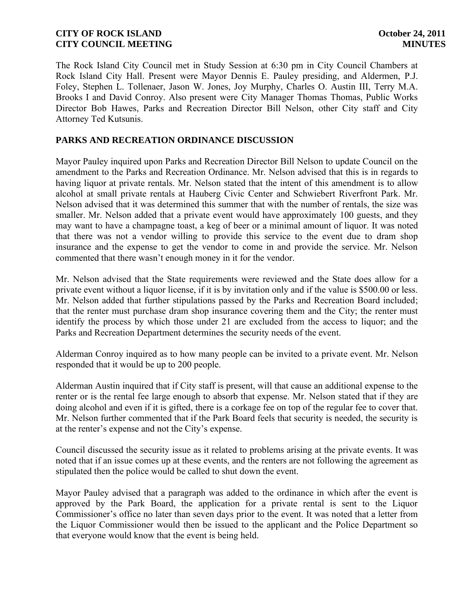The Rock Island City Council met in Study Session at 6:30 pm in City Council Chambers at Rock Island City Hall. Present were Mayor Dennis E. Pauley presiding, and Aldermen, P.J. Foley, Stephen L. Tollenaer, Jason W. Jones, Joy Murphy, Charles O. Austin III, Terry M.A. Brooks I and David Conroy. Also present were City Manager Thomas Thomas, Public Works Director Bob Hawes, Parks and Recreation Director Bill Nelson, other City staff and City Attorney Ted Kutsunis.

## **PARKS AND RECREATION ORDINANCE DISCUSSION**

Mayor Pauley inquired upon Parks and Recreation Director Bill Nelson to update Council on the amendment to the Parks and Recreation Ordinance. Mr. Nelson advised that this is in regards to having liquor at private rentals. Mr. Nelson stated that the intent of this amendment is to allow alcohol at small private rentals at Hauberg Civic Center and Schwiebert Riverfront Park. Mr. Nelson advised that it was determined this summer that with the number of rentals, the size was smaller. Mr. Nelson added that a private event would have approximately 100 guests, and they may want to have a champagne toast, a keg of beer or a minimal amount of liquor. It was noted that there was not a vendor willing to provide this service to the event due to dram shop insurance and the expense to get the vendor to come in and provide the service. Mr. Nelson commented that there wasn't enough money in it for the vendor.

Mr. Nelson advised that the State requirements were reviewed and the State does allow for a private event without a liquor license, if it is by invitation only and if the value is \$500.00 or less. Mr. Nelson added that further stipulations passed by the Parks and Recreation Board included; that the renter must purchase dram shop insurance covering them and the City; the renter must identify the process by which those under 21 are excluded from the access to liquor; and the Parks and Recreation Department determines the security needs of the event.

Alderman Conroy inquired as to how many people can be invited to a private event. Mr. Nelson responded that it would be up to 200 people.

Alderman Austin inquired that if City staff is present, will that cause an additional expense to the renter or is the rental fee large enough to absorb that expense. Mr. Nelson stated that if they are doing alcohol and even if it is gifted, there is a corkage fee on top of the regular fee to cover that. Mr. Nelson further commented that if the Park Board feels that security is needed, the security is at the renter's expense and not the City's expense.

Council discussed the security issue as it related to problems arising at the private events. It was noted that if an issue comes up at these events, and the renters are not following the agreement as stipulated then the police would be called to shut down the event.

Mayor Pauley advised that a paragraph was added to the ordinance in which after the event is approved by the Park Board, the application for a private rental is sent to the Liquor Commissioner's office no later than seven days prior to the event. It was noted that a letter from the Liquor Commissioner would then be issued to the applicant and the Police Department so that everyone would know that the event is being held.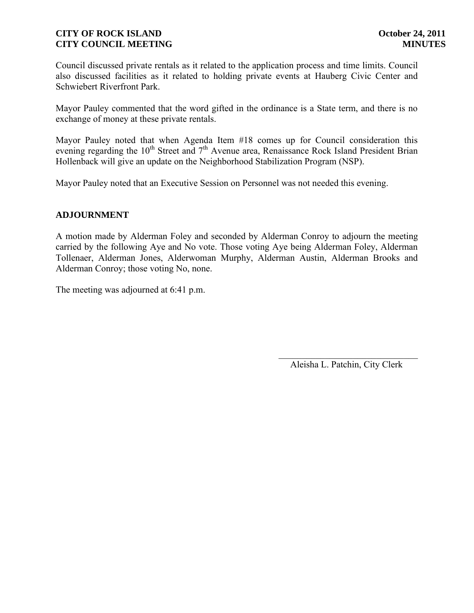Council discussed private rentals as it related to the application process and time limits. Council also discussed facilities as it related to holding private events at Hauberg Civic Center and Schwiebert Riverfront Park.

Mayor Pauley commented that the word gifted in the ordinance is a State term, and there is no exchange of money at these private rentals.

Mayor Pauley noted that when Agenda Item #18 comes up for Council consideration this evening regarding the  $10^{th}$  Street and  $7^{th}$  Avenue area, Renaissance Rock Island President Brian Hollenback will give an update on the Neighborhood Stabilization Program (NSP).

Mayor Pauley noted that an Executive Session on Personnel was not needed this evening.

### **ADJOURNMENT**

A motion made by Alderman Foley and seconded by Alderman Conroy to adjourn the meeting carried by the following Aye and No vote. Those voting Aye being Alderman Foley, Alderman Tollenaer, Alderman Jones, Alderwoman Murphy, Alderman Austin, Alderman Brooks and Alderman Conroy; those voting No, none.

The meeting was adjourned at 6:41 p.m.

 $\overline{\phantom{a}}$ Aleisha L. Patchin, City Clerk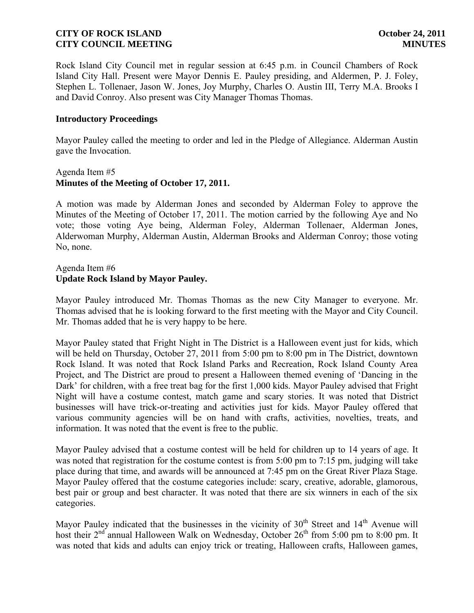Rock Island City Council met in regular session at 6:45 p.m. in Council Chambers of Rock Island City Hall. Present were Mayor Dennis E. Pauley presiding, and Aldermen, P. J. Foley, Stephen L. Tollenaer, Jason W. Jones, Joy Murphy, Charles O. Austin III, Terry M.A. Brooks I and David Conroy. Also present was City Manager Thomas Thomas.

#### **Introductory Proceedings**

Mayor Pauley called the meeting to order and led in the Pledge of Allegiance. Alderman Austin gave the Invocation.

### Agenda Item #5 **Minutes of the Meeting of October 17, 2011.**

A motion was made by Alderman Jones and seconded by Alderman Foley to approve the Minutes of the Meeting of October 17, 2011. The motion carried by the following Aye and No vote; those voting Aye being, Alderman Foley, Alderman Tollenaer, Alderman Jones, Alderwoman Murphy, Alderman Austin, Alderman Brooks and Alderman Conroy; those voting No, none.

## Agenda Item #6 **Update Rock Island by Mayor Pauley.**

Mayor Pauley introduced Mr. Thomas Thomas as the new City Manager to everyone. Mr. Thomas advised that he is looking forward to the first meeting with the Mayor and City Council. Mr. Thomas added that he is very happy to be here.

Mayor Pauley stated that Fright Night in The District is a Halloween event just for kids, which will be held on Thursday, October 27, 2011 from 5:00 pm to 8:00 pm in The District, downtown Rock Island. It was noted that Rock Island Parks and Recreation, Rock Island County Area Project, and The District are proud to present a Halloween themed evening of 'Dancing in the Dark' for children, with a free treat bag for the first 1,000 kids. Mayor Pauley advised that Fright Night will have a costume contest, match game and scary stories. It was noted that District businesses will have trick-or-treating and activities just for kids. Mayor Pauley offered that various community agencies will be on hand with crafts, activities, novelties, treats, and information. It was noted that the event is free to the public.

Mayor Pauley advised that a costume contest will be held for children up to 14 years of age. It was noted that registration for the costume contest is from 5:00 pm to 7:15 pm, judging will take place during that time, and awards will be announced at 7:45 pm on the Great River Plaza Stage. Mayor Pauley offered that the costume categories include: scary, creative, adorable, glamorous, best pair or group and best character. It was noted that there are six winners in each of the six categories.

Mayor Pauley indicated that the businesses in the vicinity of  $30<sup>th</sup>$  Street and  $14<sup>th</sup>$  Avenue will host their 2<sup>nd</sup> annual Halloween Walk on Wednesday, October 26<sup>th</sup> from 5:00 pm to 8:00 pm. It was noted that kids and adults can enjoy trick or treating. Halloween crafts, Halloween games,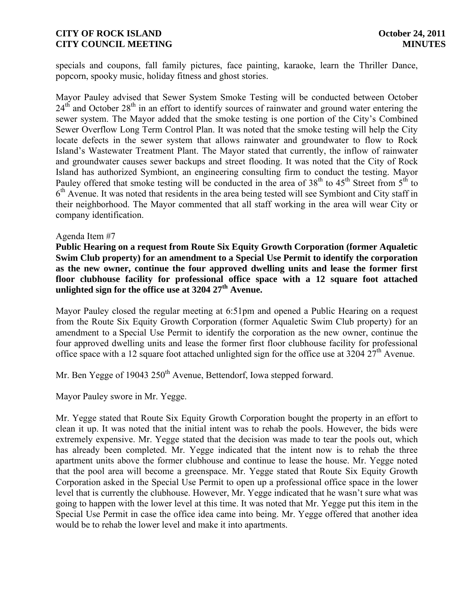specials and coupons, fall family pictures, face painting, karaoke, learn the Thriller Dance, popcorn, spooky music, holiday fitness and ghost stories.

Mayor Pauley advised that Sewer System Smoke Testing will be conducted between October  $24<sup>th</sup>$  and October  $28<sup>th</sup>$  in an effort to identify sources of rainwater and ground water entering the sewer system. The Mayor added that the smoke testing is one portion of the City's Combined Sewer Overflow Long Term Control Plan. It was noted that the smoke testing will help the City locate defects in the sewer system that allows rainwater and groundwater to flow to Rock Island's Wastewater Treatment Plant. The Mayor stated that currently, the inflow of rainwater and groundwater causes sewer backups and street flooding. It was noted that the City of Rock Island has authorized Symbiont, an engineering consulting firm to conduct the testing. Mayor Pauley offered that smoke testing will be conducted in the area of  $38<sup>th</sup>$  to  $45<sup>th</sup>$  Street from  $5<sup>th</sup>$  to 6<sup>th</sup> Avenue. It was noted that residents in the area being tested will see Symbiont and City staff in their neighborhood. The Mayor commented that all staff working in the area will wear City or company identification.

#### Agenda Item #7

**Public Hearing on a request from Route Six Equity Growth Corporation (former Aqualetic Swim Club property) for an amendment to a Special Use Permit to identify the corporation as the new owner, continue the four approved dwelling units and lease the former first floor clubhouse facility for professional office space with a 12 square foot attached unlighted sign for the office use at 3204 27th Avenue.**

Mayor Pauley closed the regular meeting at 6:51pm and opened a Public Hearing on a request from the Route Six Equity Growth Corporation (former Aqualetic Swim Club property) for an amendment to a Special Use Permit to identify the corporation as the new owner, continue the four approved dwelling units and lease the former first floor clubhouse facility for professional office space with a 12 square foot attached unlighted sign for the office use at 3204 27<sup>th</sup> Avenue.

Mr. Ben Yegge of 19043 250<sup>th</sup> Avenue, Bettendorf, Iowa stepped forward.

Mayor Pauley swore in Mr. Yegge.

Mr. Yegge stated that Route Six Equity Growth Corporation bought the property in an effort to clean it up. It was noted that the initial intent was to rehab the pools. However, the bids were extremely expensive. Mr. Yegge stated that the decision was made to tear the pools out, which has already been completed. Mr. Yegge indicated that the intent now is to rehab the three apartment units above the former clubhouse and continue to lease the house. Mr. Yegge noted that the pool area will become a greenspace. Mr. Yegge stated that Route Six Equity Growth Corporation asked in the Special Use Permit to open up a professional office space in the lower level that is currently the clubhouse. However, Mr. Yegge indicated that he wasn't sure what was going to happen with the lower level at this time. It was noted that Mr. Yegge put this item in the Special Use Permit in case the office idea came into being. Mr. Yegge offered that another idea would be to rehab the lower level and make it into apartments.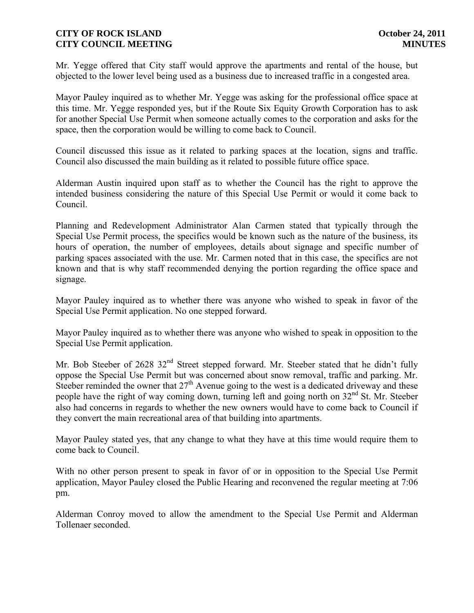Mr. Yegge offered that City staff would approve the apartments and rental of the house, but objected to the lower level being used as a business due to increased traffic in a congested area.

Mayor Pauley inquired as to whether Mr. Yegge was asking for the professional office space at this time. Mr. Yegge responded yes, but if the Route Six Equity Growth Corporation has to ask for another Special Use Permit when someone actually comes to the corporation and asks for the space, then the corporation would be willing to come back to Council.

Council discussed this issue as it related to parking spaces at the location, signs and traffic. Council also discussed the main building as it related to possible future office space.

Alderman Austin inquired upon staff as to whether the Council has the right to approve the intended business considering the nature of this Special Use Permit or would it come back to Council.

Planning and Redevelopment Administrator Alan Carmen stated that typically through the Special Use Permit process, the specifics would be known such as the nature of the business, its hours of operation, the number of employees, details about signage and specific number of parking spaces associated with the use. Mr. Carmen noted that in this case, the specifics are not known and that is why staff recommended denying the portion regarding the office space and signage.

Mayor Pauley inquired as to whether there was anyone who wished to speak in favor of the Special Use Permit application. No one stepped forward.

Mayor Pauley inquired as to whether there was anyone who wished to speak in opposition to the Special Use Permit application.

Mr. Bob Steeber of 2628 32<sup>nd</sup> Street stepped forward. Mr. Steeber stated that he didn't fully oppose the Special Use Permit but was concerned about snow removal, traffic and parking. Mr. Steeber reminded the owner that  $27<sup>th</sup>$  Avenue going to the west is a dedicated driveway and these people have the right of way coming down, turning left and going north on  $32<sup>nd</sup>$  St. Mr. Steeber also had concerns in regards to whether the new owners would have to come back to Council if they convert the main recreational area of that building into apartments.

Mayor Pauley stated yes, that any change to what they have at this time would require them to come back to Council.

With no other person present to speak in favor of or in opposition to the Special Use Permit application, Mayor Pauley closed the Public Hearing and reconvened the regular meeting at 7:06 pm.

Alderman Conroy moved to allow the amendment to the Special Use Permit and Alderman Tollenaer seconded.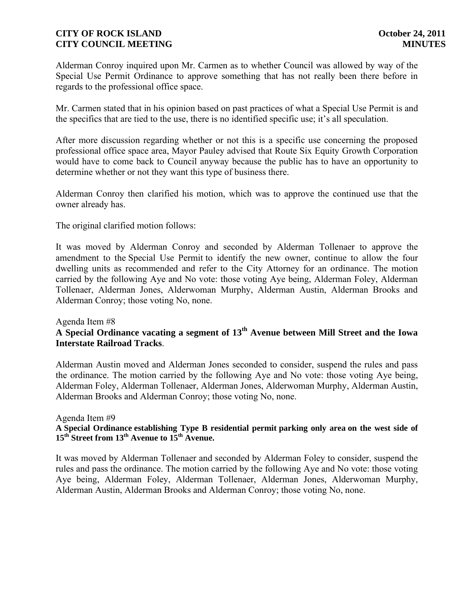Alderman Conroy inquired upon Mr. Carmen as to whether Council was allowed by way of the Special Use Permit Ordinance to approve something that has not really been there before in regards to the professional office space.

Mr. Carmen stated that in his opinion based on past practices of what a Special Use Permit is and the specifics that are tied to the use, there is no identified specific use; it's all speculation.

After more discussion regarding whether or not this is a specific use concerning the proposed professional office space area, Mayor Pauley advised that Route Six Equity Growth Corporation would have to come back to Council anyway because the public has to have an opportunity to determine whether or not they want this type of business there.

Alderman Conroy then clarified his motion, which was to approve the continued use that the owner already has.

The original clarified motion follows:

It was moved by Alderman Conroy and seconded by Alderman Tollenaer to approve the amendment to the Special Use Permit to identify the new owner, continue to allow the four dwelling units as recommended and refer to the City Attorney for an ordinance. The motion carried by the following Aye and No vote: those voting Aye being, Alderman Foley, Alderman Tollenaer, Alderman Jones, Alderwoman Murphy, Alderman Austin, Alderman Brooks and Alderman Conroy; those voting No, none.

#### Agenda Item #8

# **A Special Ordinance vacating a segment of 13th Avenue between Mill Street and the Iowa Interstate Railroad Tracks**.

Alderman Austin moved and Alderman Jones seconded to consider, suspend the rules and pass the ordinance. The motion carried by the following Aye and No vote: those voting Aye being, Alderman Foley, Alderman Tollenaer, Alderman Jones, Alderwoman Murphy, Alderman Austin, Alderman Brooks and Alderman Conroy; those voting No, none.

#### Agenda Item #9

## **A Special Ordinance establishing Type B residential permit parking only area on the west side of**   $15<sup>th</sup>$  Street from  $13<sup>th</sup>$  Avenue to  $15<sup>th</sup>$  Avenue.

It was moved by Alderman Tollenaer and seconded by Alderman Foley to consider, suspend the rules and pass the ordinance. The motion carried by the following Aye and No vote: those voting Aye being, Alderman Foley, Alderman Tollenaer, Alderman Jones, Alderwoman Murphy, Alderman Austin, Alderman Brooks and Alderman Conroy; those voting No, none.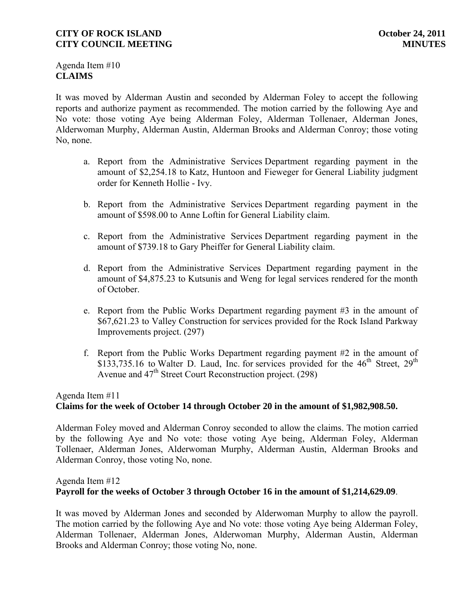Agenda Item #10 **CLAIMS**

It was moved by Alderman Austin and seconded by Alderman Foley to accept the following reports and authorize payment as recommended. The motion carried by the following Aye and No vote: those voting Aye being Alderman Foley, Alderman Tollenaer, Alderman Jones, Alderwoman Murphy, Alderman Austin, Alderman Brooks and Alderman Conroy; those voting No, none.

- a. Report from the Administrative Services Department regarding payment in the amount of \$2,254.18 to Katz, Huntoon and Fieweger for General Liability judgment order for Kenneth Hollie - Ivy.
- b. Report from the Administrative Services Department regarding payment in the amount of \$598.00 to Anne Loftin for General Liability claim.
- c. Report from the Administrative Services Department regarding payment in the amount of \$739.18 to Gary Pheiffer for General Liability claim.
- d. Report from the Administrative Services Department regarding payment in the amount of \$4,875.23 to Kutsunis and Weng for legal services rendered for the month of October.
- e. Report from the Public Works Department regarding payment #3 in the amount of \$67,621.23 to Valley Construction for services provided for the Rock Island Parkway Improvements project. (297)
- f. Report from the Public Works Department regarding payment #2 in the amount of  $$133,735.16$  to Walter D. Laud, Inc. for services provided for the  $46<sup>th</sup>$  Street,  $29<sup>th</sup>$ Avenue and 47<sup>th</sup> Street Court Reconstruction project. (298)

### Agenda Item #11

### **Claims for the week of October 14 through October 20 in the amount of \$1,982,908.50.**

Alderman Foley moved and Alderman Conroy seconded to allow the claims. The motion carried by the following Aye and No vote: those voting Aye being, Alderman Foley, Alderman Tollenaer, Alderman Jones, Alderwoman Murphy, Alderman Austin, Alderman Brooks and Alderman Conroy, those voting No, none.

### Agenda Item #12 **Payroll for the weeks of October 3 through October 16 in the amount of \$1,214,629.09**.

It was moved by Alderman Jones and seconded by Alderwoman Murphy to allow the payroll. The motion carried by the following Aye and No vote: those voting Aye being Alderman Foley, Alderman Tollenaer, Alderman Jones, Alderwoman Murphy, Alderman Austin, Alderman Brooks and Alderman Conroy; those voting No, none.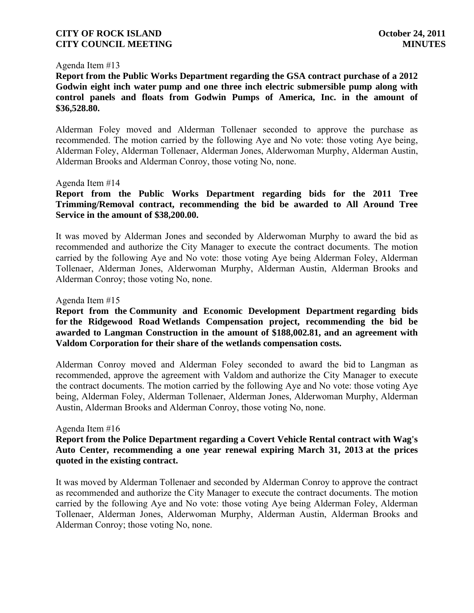#### Agenda Item #13

**Report from the Public Works Department regarding the GSA contract purchase of a 2012 Godwin eight inch water pump and one three inch electric submersible pump along with control panels and floats from Godwin Pumps of America, Inc. in the amount of \$36,528.80.**

Alderman Foley moved and Alderman Tollenaer seconded to approve the purchase as recommended. The motion carried by the following Aye and No vote: those voting Aye being, Alderman Foley, Alderman Tollenaer, Alderman Jones, Alderwoman Murphy, Alderman Austin, Alderman Brooks and Alderman Conroy, those voting No, none.

#### Agenda Item #14

## **Report from the Public Works Department regarding bids for the 2011 Tree Trimming/Removal contract, recommending the bid be awarded to All Around Tree Service in the amount of \$38,200.00.**

It was moved by Alderman Jones and seconded by Alderwoman Murphy to award the bid as recommended and authorize the City Manager to execute the contract documents. The motion carried by the following Aye and No vote: those voting Aye being Alderman Foley, Alderman Tollenaer, Alderman Jones, Alderwoman Murphy, Alderman Austin, Alderman Brooks and Alderman Conroy; those voting No, none.

#### Agenda Item #15

## **Report from the Community and Economic Development Department regarding bids for the Ridgewood Road Wetlands Compensation project, recommending the bid be awarded to Langman Construction in the amount of \$188,002.81, and an agreement with Valdom Corporation for their share of the wetlands compensation costs.**

Alderman Conroy moved and Alderman Foley seconded to award the bid to Langman as recommended, approve the agreement with Valdom and authorize the City Manager to execute the contract documents. The motion carried by the following Aye and No vote: those voting Aye being, Alderman Foley, Alderman Tollenaer, Alderman Jones, Alderwoman Murphy, Alderman Austin, Alderman Brooks and Alderman Conroy, those voting No, none.

#### Agenda Item #16

### **Report from the Police Department regarding a Covert Vehicle Rental contract with Wag's Auto Center, recommending a one year renewal expiring March 31, 2013 at the prices quoted in the existing contract.**

It was moved by Alderman Tollenaer and seconded by Alderman Conroy to approve the contract as recommended and authorize the City Manager to execute the contract documents. The motion carried by the following Aye and No vote: those voting Aye being Alderman Foley, Alderman Tollenaer, Alderman Jones, Alderwoman Murphy, Alderman Austin, Alderman Brooks and Alderman Conroy; those voting No, none.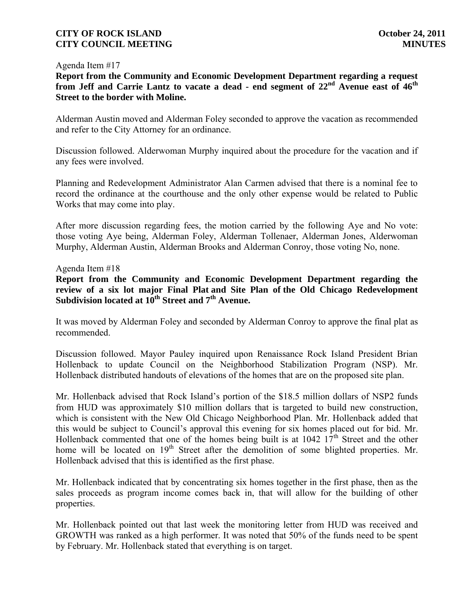#### Agenda Item #17

**Report from the Community and Economic Development Department regarding a request from Jeff and Carrie Lantz to vacate a dead - end segment of 22nd Avenue east of 46th Street to the border with Moline.**

Alderman Austin moved and Alderman Foley seconded to approve the vacation as recommended and refer to the City Attorney for an ordinance.

Discussion followed. Alderwoman Murphy inquired about the procedure for the vacation and if any fees were involved.

Planning and Redevelopment Administrator Alan Carmen advised that there is a nominal fee to record the ordinance at the courthouse and the only other expense would be related to Public Works that may come into play.

After more discussion regarding fees, the motion carried by the following Aye and No vote: those voting Aye being, Alderman Foley, Alderman Tollenaer, Alderman Jones, Alderwoman Murphy, Alderman Austin, Alderman Brooks and Alderman Conroy, those voting No, none.

### Agenda Item #18

**Report from the Community and Economic Development Department regarding the review of a six lot major Final Plat and Site Plan of the Old Chicago Redevelopment Subdivision located at 10th Street and 7th Avenue.**

It was moved by Alderman Foley and seconded by Alderman Conroy to approve the final plat as recommended.

Discussion followed. Mayor Pauley inquired upon Renaissance Rock Island President Brian Hollenback to update Council on the Neighborhood Stabilization Program (NSP). Mr. Hollenback distributed handouts of elevations of the homes that are on the proposed site plan.

Mr. Hollenback advised that Rock Island's portion of the \$18.5 million dollars of NSP2 funds from HUD was approximately \$10 million dollars that is targeted to build new construction, which is consistent with the New Old Chicago Neighborhood Plan. Mr. Hollenback added that this would be subject to Council's approval this evening for six homes placed out for bid. Mr. Hollenback commented that one of the homes being built is at  $1042 \frac{17}{\text{th}}$  Street and the other home will be located on 19<sup>th</sup> Street after the demolition of some blighted properties. Mr. Hollenback advised that this is identified as the first phase.

Mr. Hollenback indicated that by concentrating six homes together in the first phase, then as the sales proceeds as program income comes back in, that will allow for the building of other properties.

Mr. Hollenback pointed out that last week the monitoring letter from HUD was received and GROWTH was ranked as a high performer. It was noted that 50% of the funds need to be spent by February. Mr. Hollenback stated that everything is on target.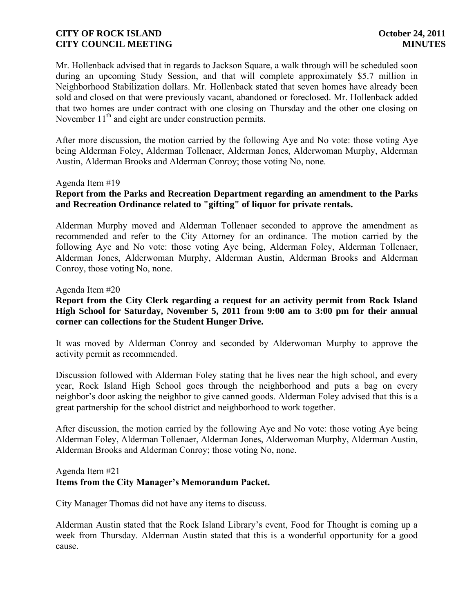Mr. Hollenback advised that in regards to Jackson Square, a walk through will be scheduled soon during an upcoming Study Session, and that will complete approximately \$5.7 million in Neighborhood Stabilization dollars. Mr. Hollenback stated that seven homes have already been sold and closed on that were previously vacant, abandoned or foreclosed. Mr. Hollenback added that two homes are under contract with one closing on Thursday and the other one closing on November  $11<sup>th</sup>$  and eight are under construction permits.

After more discussion, the motion carried by the following Aye and No vote: those voting Aye being Alderman Foley, Alderman Tollenaer, Alderman Jones, Alderwoman Murphy, Alderman Austin, Alderman Brooks and Alderman Conroy; those voting No, none.

#### Agenda Item #19

# **Report from the Parks and Recreation Department regarding an amendment to the Parks and Recreation Ordinance related to "gifting" of liquor for private rentals.**

Alderman Murphy moved and Alderman Tollenaer seconded to approve the amendment as recommended and refer to the City Attorney for an ordinance. The motion carried by the following Aye and No vote: those voting Aye being, Alderman Foley, Alderman Tollenaer, Alderman Jones, Alderwoman Murphy, Alderman Austin, Alderman Brooks and Alderman Conroy, those voting No, none.

#### Agenda Item #20

## **Report from the City Clerk regarding a request for an activity permit from Rock Island High School for Saturday, November 5, 2011 from 9:00 am to 3:00 pm for their annual corner can collections for the Student Hunger Drive.**

It was moved by Alderman Conroy and seconded by Alderwoman Murphy to approve the activity permit as recommended.

Discussion followed with Alderman Foley stating that he lives near the high school, and every year, Rock Island High School goes through the neighborhood and puts a bag on every neighbor's door asking the neighbor to give canned goods. Alderman Foley advised that this is a great partnership for the school district and neighborhood to work together.

After discussion, the motion carried by the following Aye and No vote: those voting Aye being Alderman Foley, Alderman Tollenaer, Alderman Jones, Alderwoman Murphy, Alderman Austin, Alderman Brooks and Alderman Conroy; those voting No, none.

#### Agenda Item #21

# **Items from the City Manager's Memorandum Packet.**

City Manager Thomas did not have any items to discuss.

Alderman Austin stated that the Rock Island Library's event, Food for Thought is coming up a week from Thursday. Alderman Austin stated that this is a wonderful opportunity for a good cause.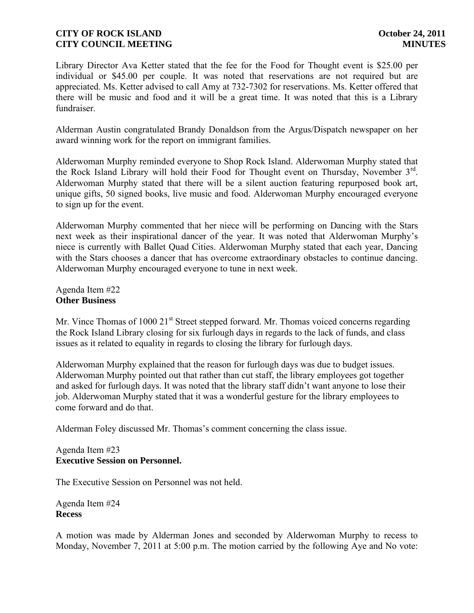Library Director Ava Ketter stated that the fee for the Food for Thought event is \$25.00 per individual or \$45.00 per couple. It was noted that reservations are not required but are appreciated. Ms. Ketter advised to call Amy at 732-7302 for reservations. Ms. Ketter offered that there will be music and food and it will be a great time. It was noted that this is a Library fundraiser.

Alderman Austin congratulated Brandy Donaldson from the Argus/Dispatch newspaper on her award winning work for the report on immigrant families.

Alderwoman Murphy reminded everyone to Shop Rock Island. Alderwoman Murphy stated that the Rock Island Library will hold their Food for Thought event on Thursday, November 3<sup>rd</sup>. Alderwoman Murphy stated that there will be a silent auction featuring repurposed book art, unique gifts, 50 signed books, live music and food. Alderwoman Murphy encouraged everyone to sign up for the event.

Alderwoman Murphy commented that her niece will be performing on Dancing with the Stars next week as their inspirational dancer of the year. It was noted that Alderwoman Murphy's niece is currently with Ballet Quad Cities. Alderwoman Murphy stated that each year, Dancing with the Stars chooses a dancer that has overcome extraordinary obstacles to continue dancing. Alderwoman Murphy encouraged everyone to tune in next week.

Agenda Item #22 **Other Business**

Mr. Vince Thomas of 1000 21<sup>st</sup> Street stepped forward. Mr. Thomas voiced concerns regarding the Rock Island Library closing for six furlough days in regards to the lack of funds, and class issues as it related to equality in regards to closing the library for furlough days.

Alderwoman Murphy explained that the reason for furlough days was due to budget issues. Alderwoman Murphy pointed out that rather than cut staff, the library employees got together and asked for furlough days. It was noted that the library staff didn't want anyone to lose their job. Alderwoman Murphy stated that it was a wonderful gesture for the library employees to come forward and do that.

Alderman Foley discussed Mr. Thomas's comment concerning the class issue.

## Agenda Item #23 **Executive Session on Personnel.**

The Executive Session on Personnel was not held.

Agenda Item #24 **Recess**

A motion was made by Alderman Jones and seconded by Alderwoman Murphy to recess to Monday, November 7, 2011 at 5:00 p.m. The motion carried by the following Aye and No vote: